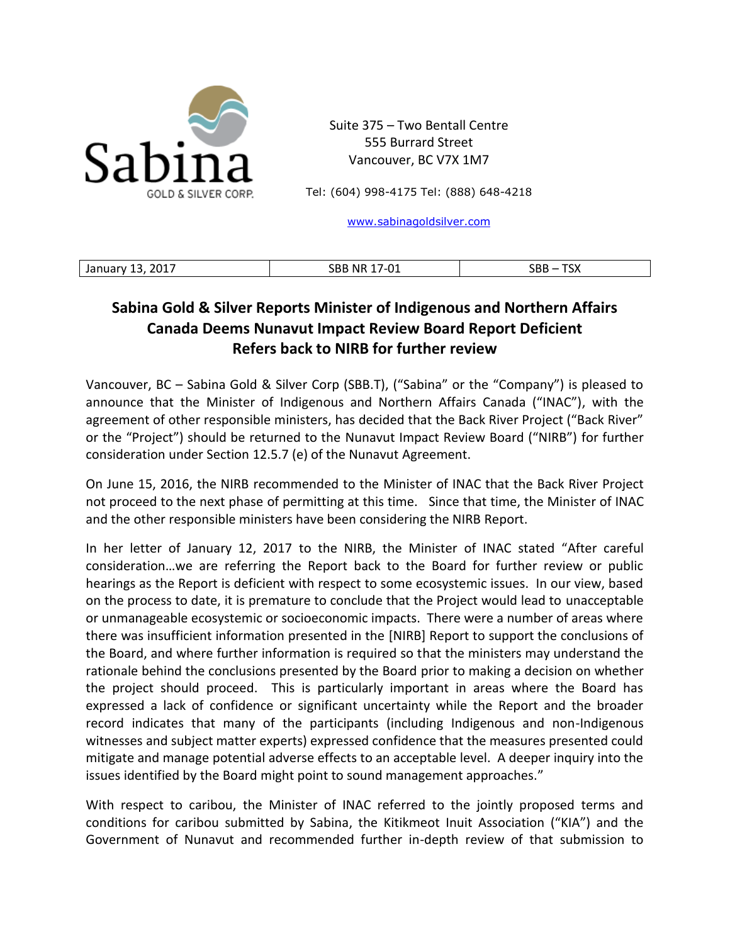

Suite 375 – Two Bentall Centre 555 Burrard Street Vancouver, BC V7X 1M7

Tel: (604) 998-4175 Tel: (888) 648-4218

[www.sabinagoldsilver.com](http://www.sabinagoldsilver.com/)

| 2017<br>$-0$<br>__ | $\sim$<br>.RR<br>. IM*<br>ັ | $- - -$<br>$\sim$ $\sim$ $\sim$<br>رد.<br><u>JUU</u><br>_____ |
|--------------------|-----------------------------|---------------------------------------------------------------|

## **Sabina Gold & Silver Reports Minister of Indigenous and Northern Affairs Canada Deems Nunavut Impact Review Board Report Deficient Refers back to NIRB for further review**

Vancouver, BC – Sabina Gold & Silver Corp (SBB.T), ("Sabina" or the "Company") is pleased to announce that the Minister of Indigenous and Northern Affairs Canada ("INAC"), with the agreement of other responsible ministers, has decided that the Back River Project ("Back River" or the "Project") should be returned to the Nunavut Impact Review Board ("NIRB") for further consideration under Section 12.5.7 (e) of the Nunavut Agreement.

On June 15, 2016, the NIRB recommended to the Minister of INAC that the Back River Project not proceed to the next phase of permitting at this time. Since that time, the Minister of INAC and the other responsible ministers have been considering the NIRB Report.

In her letter of January 12, 2017 to the NIRB, the Minister of INAC stated "After careful consideration…we are referring the Report back to the Board for further review or public hearings as the Report is deficient with respect to some ecosystemic issues. In our view, based on the process to date, it is premature to conclude that the Project would lead to unacceptable or unmanageable ecosystemic or socioeconomic impacts. There were a number of areas where there was insufficient information presented in the [NIRB] Report to support the conclusions of the Board, and where further information is required so that the ministers may understand the rationale behind the conclusions presented by the Board prior to making a decision on whether the project should proceed. This is particularly important in areas where the Board has expressed a lack of confidence or significant uncertainty while the Report and the broader record indicates that many of the participants (including Indigenous and non-Indigenous witnesses and subject matter experts) expressed confidence that the measures presented could mitigate and manage potential adverse effects to an acceptable level. A deeper inquiry into the issues identified by the Board might point to sound management approaches."

With respect to caribou, the Minister of INAC referred to the jointly proposed terms and conditions for caribou submitted by Sabina, the Kitikmeot Inuit Association ("KIA") and the Government of Nunavut and recommended further in-depth review of that submission to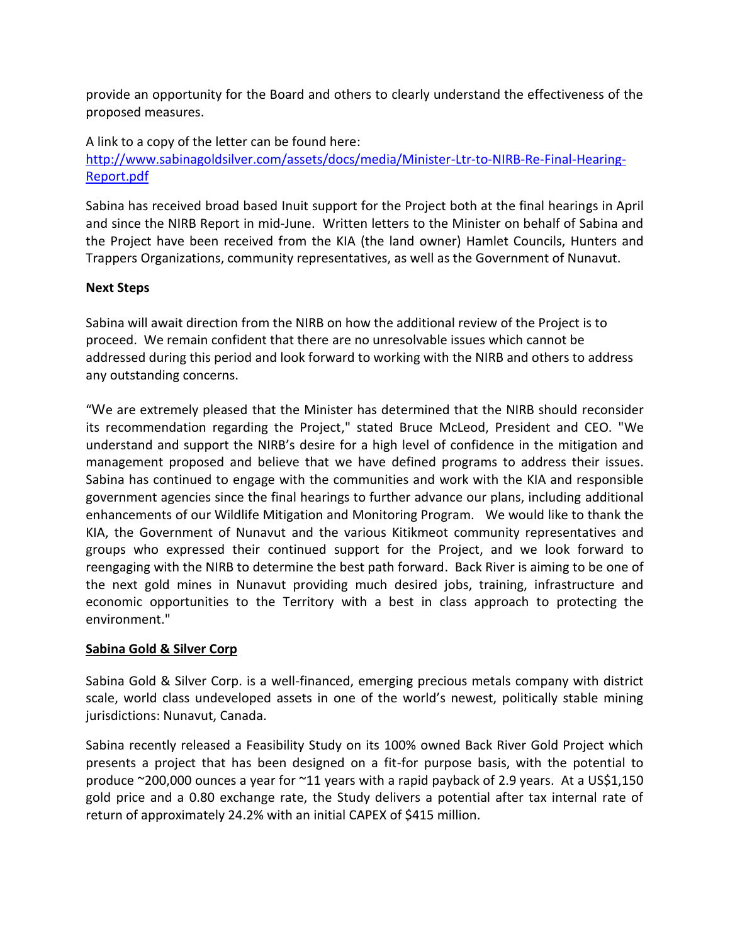provide an opportunity for the Board and others to clearly understand the effectiveness of the proposed measures.

A link to a copy of the letter can be found here: [http://www.sabinagoldsilver.com/assets/docs/media/Minister-Ltr-to-NIRB-Re-Final-Hearing-](http://www.sabinagoldsilver.com/assets/docs/media/Minister-Ltr-to-NIRB-Re-Final-Hearing-Report.pdf)[Report.pdf](http://www.sabinagoldsilver.com/assets/docs/media/Minister-Ltr-to-NIRB-Re-Final-Hearing-Report.pdf)

Sabina has received broad based Inuit support for the Project both at the final hearings in April and since the NIRB Report in mid-June. Written letters to the Minister on behalf of Sabina and the Project have been received from the KIA (the land owner) Hamlet Councils, Hunters and Trappers Organizations, community representatives, as well as the Government of Nunavut.

## **Next Steps**

Sabina will await direction from the NIRB on how the additional review of the Project is to proceed. We remain confident that there are no unresolvable issues which cannot be addressed during this period and look forward to working with the NIRB and others to address any outstanding concerns.

"We are extremely pleased that the Minister has determined that the NIRB should reconsider its recommendation regarding the Project," stated Bruce McLeod, President and CEO. "We understand and support the NIRB's desire for a high level of confidence in the mitigation and management proposed and believe that we have defined programs to address their issues. Sabina has continued to engage with the communities and work with the KIA and responsible government agencies since the final hearings to further advance our plans, including additional enhancements of our Wildlife Mitigation and Monitoring Program. We would like to thank the KIA, the Government of Nunavut and the various Kitikmeot community representatives and groups who expressed their continued support for the Project, and we look forward to reengaging with the NIRB to determine the best path forward. Back River is aiming to be one of the next gold mines in Nunavut providing much desired jobs, training, infrastructure and economic opportunities to the Territory with a best in class approach to protecting the environment."

## **Sabina Gold & Silver Corp**

Sabina Gold & Silver Corp. is a well-financed, emerging precious metals company with district scale, world class undeveloped assets in one of the world's newest, politically stable mining jurisdictions: Nunavut, Canada.

Sabina recently released a Feasibility Study on its 100% owned Back River Gold Project which presents a project that has been designed on a fit-for purpose basis, with the potential to produce ~200,000 ounces a year for ~11 years with a rapid payback of 2.9 years. At a US\$1,150 gold price and a 0.80 exchange rate, the Study delivers a potential after tax internal rate of return of approximately 24.2% with an initial CAPEX of \$415 million.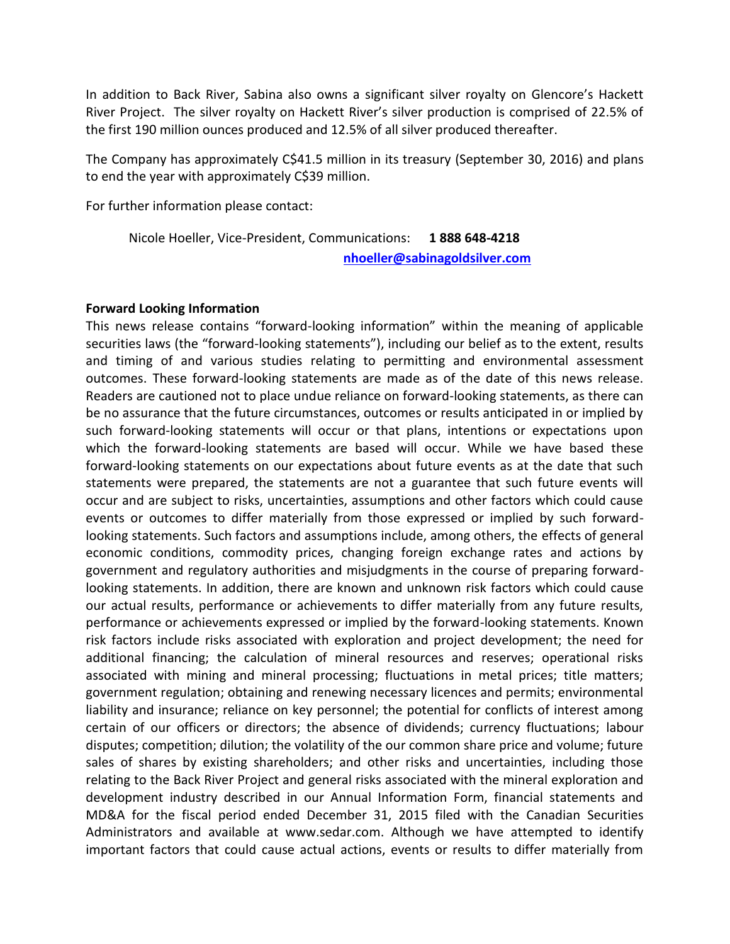In addition to Back River, Sabina also owns a significant silver royalty on Glencore's Hackett River Project. The silver royalty on Hackett River's silver production is comprised of 22.5% of the first 190 million ounces produced and 12.5% of all silver produced thereafter.

The Company has approximately C\$41.5 million in its treasury (September 30, 2016) and plans to end the year with approximately C\$39 million.

For further information please contact:

Nicole Hoeller, Vice-President, Communications: **1 888 648-4218 [nhoeller@sabinagoldsilver.com](mailto:nhoeller@sabinagoldsilver.com)**

## **Forward Looking Information**

This news release contains "forward-looking information" within the meaning of applicable securities laws (the "forward-looking statements"), including our belief as to the extent, results and timing of and various studies relating to permitting and environmental assessment outcomes. These forward-looking statements are made as of the date of this news release. Readers are cautioned not to place undue reliance on forward-looking statements, as there can be no assurance that the future circumstances, outcomes or results anticipated in or implied by such forward-looking statements will occur or that plans, intentions or expectations upon which the forward-looking statements are based will occur. While we have based these forward-looking statements on our expectations about future events as at the date that such statements were prepared, the statements are not a guarantee that such future events will occur and are subject to risks, uncertainties, assumptions and other factors which could cause events or outcomes to differ materially from those expressed or implied by such forwardlooking statements. Such factors and assumptions include, among others, the effects of general economic conditions, commodity prices, changing foreign exchange rates and actions by government and regulatory authorities and misjudgments in the course of preparing forwardlooking statements. In addition, there are known and unknown risk factors which could cause our actual results, performance or achievements to differ materially from any future results, performance or achievements expressed or implied by the forward-looking statements. Known risk factors include risks associated with exploration and project development; the need for additional financing; the calculation of mineral resources and reserves; operational risks associated with mining and mineral processing; fluctuations in metal prices; title matters; government regulation; obtaining and renewing necessary licences and permits; environmental liability and insurance; reliance on key personnel; the potential for conflicts of interest among certain of our officers or directors; the absence of dividends; currency fluctuations; labour disputes; competition; dilution; the volatility of the our common share price and volume; future sales of shares by existing shareholders; and other risks and uncertainties, including those relating to the Back River Project and general risks associated with the mineral exploration and development industry described in our Annual Information Form, financial statements and MD&A for the fiscal period ended December 31, 2015 filed with the Canadian Securities Administrators and available at www.sedar.com. Although we have attempted to identify important factors that could cause actual actions, events or results to differ materially from